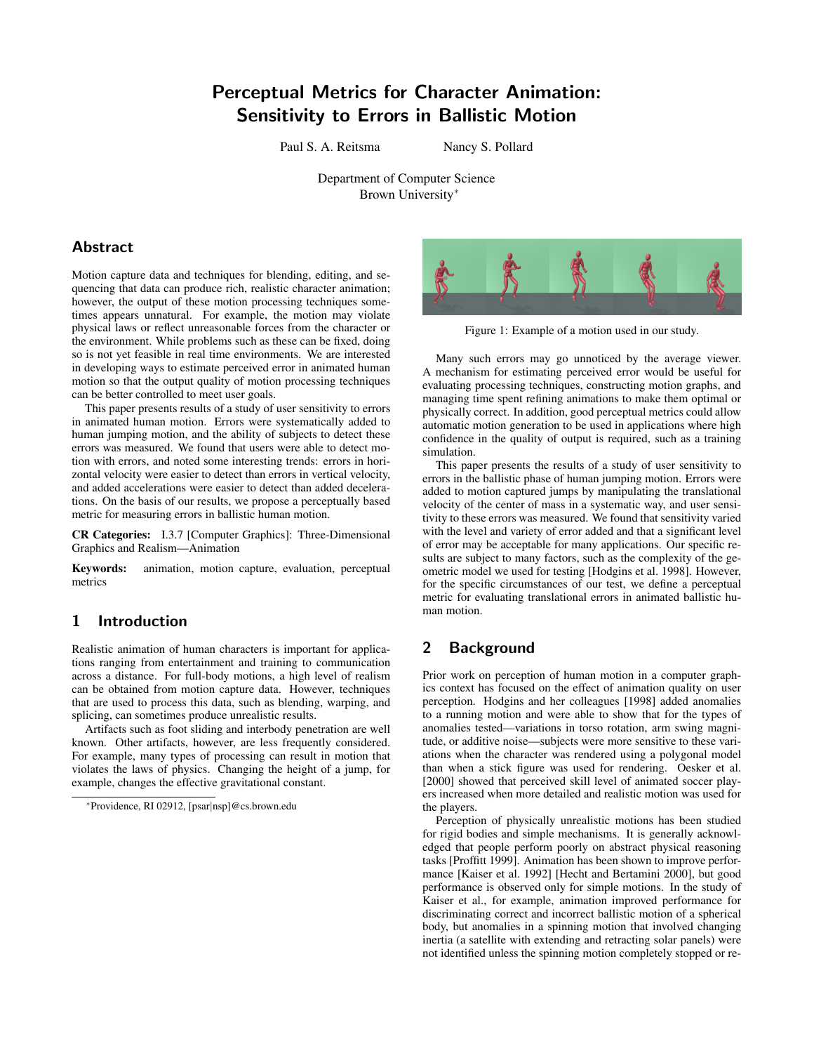# Perceptual Metrics for Character Animation: Sensitivity to Errors in Ballistic Motion

Paul S. A. Reitsma<br>
Nancy S. Pollard

Department of Computer Science Brown University∗

### Abstract

Motion capture data and techniques for blending, editing, and sequencing that data can produce rich, realistic character animation; however, the output of these motion processing techniques sometimes appears unnatural. For example, the motion may violate physical laws or reflect unreasonable forces from the character or the environment. While problems such as these can be fixed, doing so is not yet feasible in real time environments. We are interested in developing ways to estimate perceived error in animated human motion so that the output quality of motion processing techniques can be better controlled to meet user goals.

This paper presents results of a study of user sensitivity to errors in animated human motion. Errors were systematically added to human jumping motion, and the ability of subjects to detect these errors was measured. We found that users were able to detect motion with errors, and noted some interesting trends: errors in horizontal velocity were easier to detect than errors in vertical velocity, and added accelerations were easier to detect than added decelerations. On the basis of our results, we propose a perceptually based metric for measuring errors in ballistic human motion.

**CR Categories:** I.3.7 [Computer Graphics]: Three-Dimensional Graphics and Realism—Animation

**Keywords:** animation, motion capture, evaluation, perceptual metrics

# 1 Introduction

Realistic animation of human characters is important for applications ranging from entertainment and training to communication across a distance. For full-body motions, a high level of realism can be obtained from motion capture data. However, techniques that are used to process this data, such as blending, warping, and splicing, can sometimes produce unrealistic results.

Artifacts such as foot sliding and interbody penetration are well known. Other artifacts, however, are less frequently considered. For example, many types of processing can result in motion that violates the laws of physics. Changing the height of a jump, for example, changes the effective gravitational constant.



Figure 1: Example of a motion used in our study.

Many such errors may go unnoticed by the average viewer. A mechanism for estimating perceived error would be useful for evaluating processing techniques, constructing motion graphs, and managing time spent refining animations to make them optimal or physically correct. In addition, good perceptual metrics could allow automatic motion generation to be used in applications where high confidence in the quality of output is required, such as a training simulation.

This paper presents the results of a study of user sensitivity to errors in the ballistic phase of human jumping motion. Errors were added to motion captured jumps by manipulating the translational velocity of the center of mass in a systematic way, and user sensitivity to these errors was measured. We found that sensitivity varied with the level and variety of error added and that a significant level of error may be acceptable for many applications. Our specific results are subject to many factors, such as the complexity of the geometric model we used for testing [Hodgins et al. 1998]. However, for the specific circumstances of our test, we define a perceptual metric for evaluating translational errors in animated ballistic human motion.

# 2 Background

Prior work on perception of human motion in a computer graphics context has focused on the effect of animation quality on user perception. Hodgins and her colleagues [1998] added anomalies to a running motion and were able to show that for the types of anomalies tested—variations in torso rotation, arm swing magnitude, or additive noise—subjects were more sensitive to these variations when the character was rendered using a polygonal model than when a stick figure was used for rendering. Oesker et al. [2000] showed that perceived skill level of animated soccer players increased when more detailed and realistic motion was used for the players.

Perception of physically unrealistic motions has been studied for rigid bodies and simple mechanisms. It is generally acknowledged that people perform poorly on abstract physical reasoning tasks [Proffitt 1999]. Animation has been shown to improve performance [Kaiser et al. 1992] [Hecht and Bertamini 2000], but good performance is observed only for simple motions. In the study of Kaiser et al., for example, animation improved performance for discriminating correct and incorrect ballistic motion of a spherical body, but anomalies in a spinning motion that involved changing inertia (a satellite with extending and retracting solar panels) were not identified unless the spinning motion completely stopped or re-

<sup>∗</sup>Providence, RI 02912, [psar|nsp]@cs.brown.edu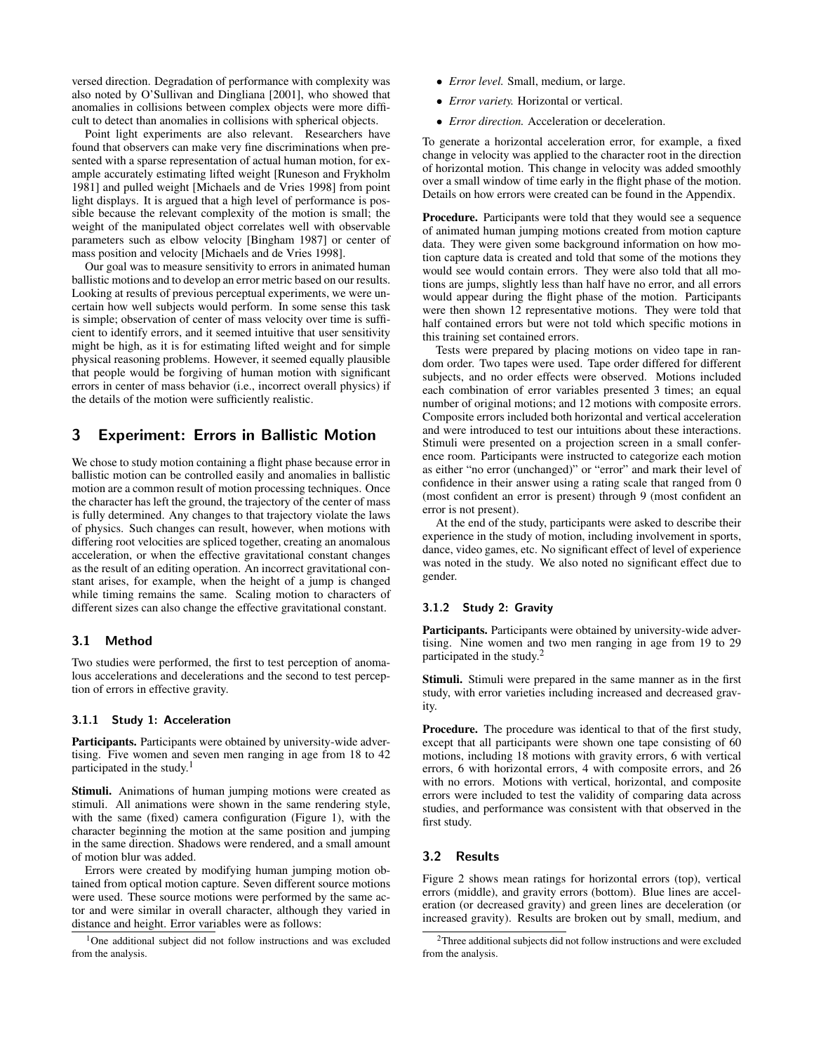versed direction. Degradation of performance with complexity was also noted by O'Sullivan and Dingliana [2001], who showed that anomalies in collisions between complex objects were more difficult to detect than anomalies in collisions with spherical objects.

Point light experiments are also relevant. Researchers have found that observers can make very fine discriminations when presented with a sparse representation of actual human motion, for example accurately estimating lifted weight [Runeson and Frykholm 1981] and pulled weight [Michaels and de Vries 1998] from point light displays. It is argued that a high level of performance is possible because the relevant complexity of the motion is small; the weight of the manipulated object correlates well with observable parameters such as elbow velocity [Bingham 1987] or center of mass position and velocity [Michaels and de Vries 1998].

Our goal was to measure sensitivity to errors in animated human ballistic motions and to develop an error metric based on our results. Looking at results of previous perceptual experiments, we were uncertain how well subjects would perform. In some sense this task is simple; observation of center of mass velocity over time is sufficient to identify errors, and it seemed intuitive that user sensitivity might be high, as it is for estimating lifted weight and for simple physical reasoning problems. However, it seemed equally plausible that people would be forgiving of human motion with significant errors in center of mass behavior (i.e., incorrect overall physics) if the details of the motion were sufficiently realistic.

# 3 Experiment: Errors in Ballistic Motion

We chose to study motion containing a flight phase because error in ballistic motion can be controlled easily and anomalies in ballistic motion are a common result of motion processing techniques. Once the character has left the ground, the trajectory of the center of mass is fully determined. Any changes to that trajectory violate the laws of physics. Such changes can result, however, when motions with differing root velocities are spliced together, creating an anomalous acceleration, or when the effective gravitational constant changes as the result of an editing operation. An incorrect gravitational constant arises, for example, when the height of a jump is changed while timing remains the same. Scaling motion to characters of different sizes can also change the effective gravitational constant.

#### 3.1 Method

Two studies were performed, the first to test perception of anomalous accelerations and decelerations and the second to test perception of errors in effective gravity.

#### 3.1.1 Study 1: Acceleration

**Participants.** Participants were obtained by university-wide advertising. Five women and seven men ranging in age from 18 to 42 participated in the study.<sup>1</sup>

**Stimuli.** Animations of human jumping motions were created as stimuli. All animations were shown in the same rendering style, with the same (fixed) camera configuration (Figure 1), with the character beginning the motion at the same position and jumping in the same direction. Shadows were rendered, and a small amount of motion blur was added.

Errors were created by modifying human jumping motion obtained from optical motion capture. Seven different source motions were used. These source motions were performed by the same actor and were similar in overall character, although they varied in distance and height. Error variables were as follows:

 $1$ One additional subject did not follow instructions and was excluded from the analysis.

- *Error level.* Small, medium, or large.
- *Error variety.* Horizontal or vertical.
- *Error direction.* Acceleration or deceleration.

To generate a horizontal acceleration error, for example, a fixed change in velocity was applied to the character root in the direction of horizontal motion. This change in velocity was added smoothly over a small window of time early in the flight phase of the motion. Details on how errors were created can be found in the Appendix.

**Procedure.** Participants were told that they would see a sequence of animated human jumping motions created from motion capture data. They were given some background information on how motion capture data is created and told that some of the motions they would see would contain errors. They were also told that all motions are jumps, slightly less than half have no error, and all errors would appear during the flight phase of the motion. Participants were then shown 12 representative motions. They were told that half contained errors but were not told which specific motions in this training set contained errors.

Tests were prepared by placing motions on video tape in random order. Two tapes were used. Tape order differed for different subjects, and no order effects were observed. Motions included each combination of error variables presented 3 times; an equal number of original motions; and 12 motions with composite errors. Composite errors included both horizontal and vertical acceleration and were introduced to test our intuitions about these interactions. Stimuli were presented on a projection screen in a small conference room. Participants were instructed to categorize each motion as either "no error (unchanged)" or "error" and mark their level of confidence in their answer using a rating scale that ranged from 0 (most confident an error is present) through 9 (most confident an error is not present).

At the end of the study, participants were asked to describe their experience in the study of motion, including involvement in sports, dance, video games, etc. No significant effect of level of experience was noted in the study. We also noted no significant effect due to gender.

#### 3.1.2 Study 2: Gravity

**Participants.** Participants were obtained by university-wide advertising. Nine women and two men ranging in age from 19 to 29 participated in the study.<sup>2</sup>

**Stimuli.** Stimuli were prepared in the same manner as in the first study, with error varieties including increased and decreased gravity.

**Procedure.** The procedure was identical to that of the first study, except that all participants were shown one tape consisting of 60 motions, including 18 motions with gravity errors, 6 with vertical errors, 6 with horizontal errors, 4 with composite errors, and 26 with no errors. Motions with vertical, horizontal, and composite errors were included to test the validity of comparing data across studies, and performance was consistent with that observed in the first study.

#### 3.2 Results

Figure 2 shows mean ratings for horizontal errors (top), vertical errors (middle), and gravity errors (bottom). Blue lines are acceleration (or decreased gravity) and green lines are deceleration (or increased gravity). Results are broken out by small, medium, and

<sup>&</sup>lt;sup>2</sup>Three additional subjects did not follow instructions and were excluded from the analysis.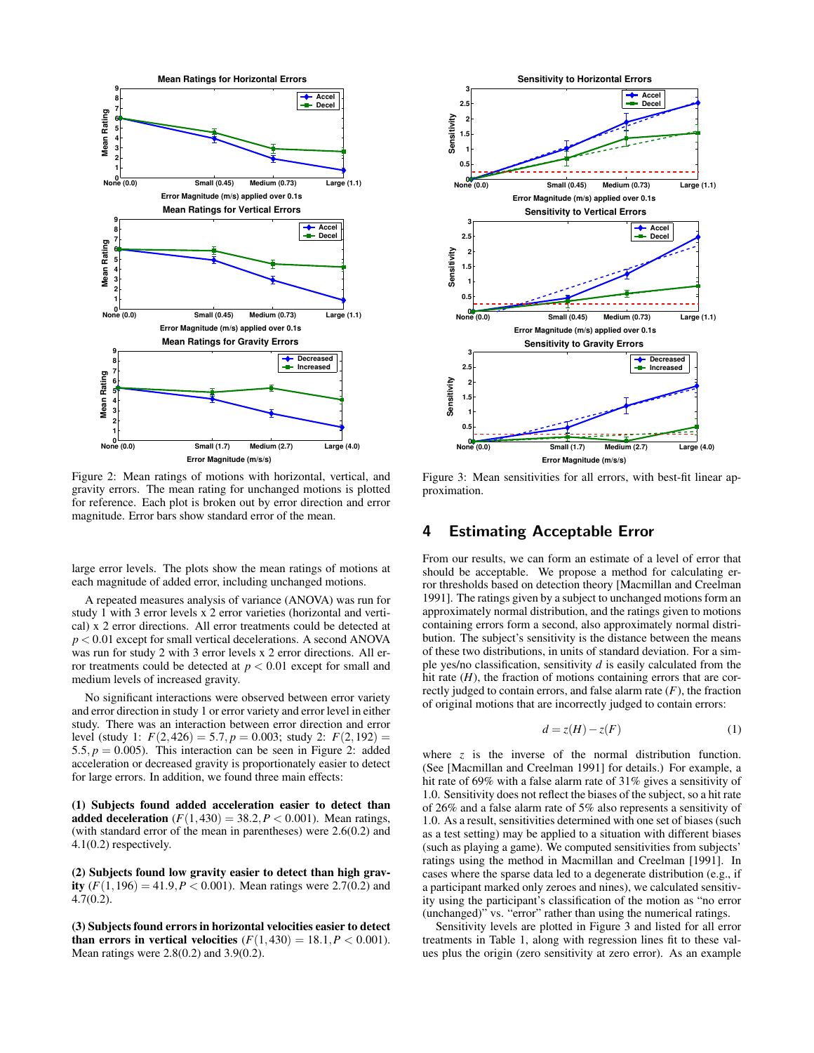

Figure 2: Mean ratings of motions with horizontal, vertical, and gravity errors. The mean rating for unchanged motions is plotted for reference. Each plot is broken out by error direction and error magnitude. Error bars show standard error of the mean.

large error levels. The plots show the mean ratings of motions at each magnitude of added error, including unchanged motions.

A repeated measures analysis of variance (ANOVA) was run for study 1 with 3 error levels x 2 error varieties (horizontal and vertical) x 2 error directions. All error treatments could be detected at *p* < 0.01 except for small vertical decelerations. A second ANOVA was run for study 2 with 3 error levels x 2 error directions. All error treatments could be detected at *p* < 0.01 except for small and medium levels of increased gravity.

No significant interactions were observed between error variety and error direction in study 1 or error variety and error level in either study. There was an interaction between error direction and error level (study 1:  $F(2,426) = 5.7, p = 0.003$ ; study 2:  $F(2,192) =$ 5.5,  $p = 0.005$ ). This interaction can be seen in Figure 2: added acceleration or decreased gravity is proportionately easier to detect for large errors. In addition, we found three main effects:

**(1) Subjects found added acceleration easier to detect than added deceleration**  $(F(1,430) = 38.2, P < 0.001)$ . Mean ratings, (with standard error of the mean in parentheses) were 2.6(0.2) and 4.1(0.2) respectively.

**(2) Subjects found low gravity easier to detect than high gravity**  $(F(1, 196) = 41.9, P < 0.001)$ . Mean ratings were 2.7(0.2) and 4.7(0.2).

**(3) Subjects found errors in horizontal velocities easier to detect than errors** in **vertical velocities**  $(F(1,430) = 18.1, P < 0.001)$ . Mean ratings were 2.8(0.2) and 3.9(0.2).



Figure 3: Mean sensitivities for all errors, with best-fit linear approximation.

### 4 Estimating Acceptable Error

From our results, we can form an estimate of a level of error that should be acceptable. We propose a method for calculating error thresholds based on detection theory [Macmillan and Creelman 1991]. The ratings given by a subject to unchanged motions form an approximately normal distribution, and the ratings given to motions containing errors form a second, also approximately normal distribution. The subject's sensitivity is the distance between the means of these two distributions, in units of standard deviation. For a simple yes/no classification, sensitivity *d* is easily calculated from the hit rate (*H*), the fraction of motions containing errors that are correctly judged to contain errors, and false alarm rate (*F*), the fraction of original motions that are incorrectly judged to contain errors:

$$
d = z(H) - z(F) \tag{1}
$$

where *z* is the inverse of the normal distribution function. (See [Macmillan and Creelman 1991] for details.) For example, a hit rate of 69% with a false alarm rate of 31% gives a sensitivity of 1.0. Sensitivity does not reflect the biases of the subject, so a hit rate of 26% and a false alarm rate of 5% also represents a sensitivity of 1.0. As a result, sensitivities determined with one set of biases (such as a test setting) may be applied to a situation with different biases (such as playing a game). We computed sensitivities from subjects' ratings using the method in Macmillan and Creelman [1991]. In cases where the sparse data led to a degenerate distribution (e.g., if a participant marked only zeroes and nines), we calculated sensitivity using the participant's classification of the motion as "no error (unchanged)" vs. "error" rather than using the numerical ratings.

Sensitivity levels are plotted in Figure 3 and listed for all error treatments in Table 1, along with regression lines fit to these values plus the origin (zero sensitivity at zero error). As an example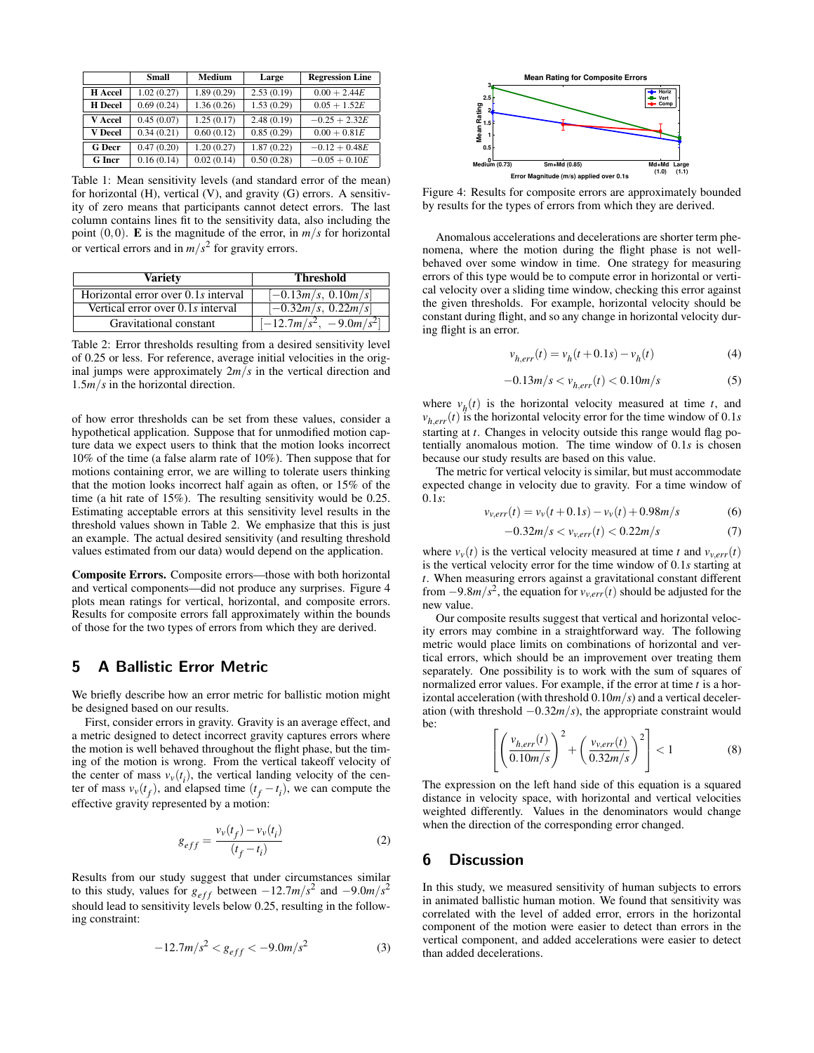|                | <b>Small</b> | <b>Medium</b> | Large      | <b>Regression Line</b> |
|----------------|--------------|---------------|------------|------------------------|
| <b>H</b> Accel | 1.02(0.27)   | 1.89(0.29)    | 2.53(0.19) | $0.00 + 2.44E$         |
| <b>H</b> Decel | 0.69(0.24)   | 1.36(0.26)    | 1.53(0.29) | $0.05 + 1.52E$         |
| <b>V</b> Accel | 0.45(0.07)   | 1.25(0.17)    | 2.48(0.19) | $-0.25 + 2.32E$        |
| <b>V</b> Decel | 0.34(0.21)   | 0.60(0.12)    | 0.85(0.29) | $0.00 + 0.81E$         |
| <b>G</b> Decr  | 0.47(0.20)   | 1.20(0.27)    | 1.87(0.22) | $-0.12 + 0.48E$        |
| <b>G</b> Incr  | 0.16(0.14)   | 0.02(0.14)    | 0.50(0.28) | $-0.05 + 0.10E$        |

Table 1: Mean sensitivity levels (and standard error of the mean) for horizontal  $(H)$ , vertical  $(V)$ , and gravity  $(G)$  errors. A sensitivity of zero means that participants cannot detect errors. The last column contains lines fit to the sensitivity data, also including the point  $(0,0)$ . **E** is the magnitude of the error, in  $m/s$  for horizontal or vertical errors and in  $m/s^2$  for gravity errors.

| <b>Variety</b>                      | <b>Threshold</b>          |  |
|-------------------------------------|---------------------------|--|
| Horizontal error over 0.1s interval | $[-0.13m/s, 0.10m/s]$     |  |
| Vertical error over 0.1s interval   | $[-0.32m/s, 0.22m/s]$     |  |
| Gravitational constant              | $[-12.7m/s^2, -9.0m/s^2]$ |  |

Table 2: Error thresholds resulting from a desired sensitivity level of 0.25 or less. For reference, average initial velocities in the original jumps were approximately 2*m*/*s* in the vertical direction and 1.5*m*/*s* in the horizontal direction.

of how error thresholds can be set from these values, consider a hypothetical application. Suppose that for unmodified motion capture data we expect users to think that the motion looks incorrect 10% of the time (a false alarm rate of 10%). Then suppose that for motions containing error, we are willing to tolerate users thinking that the motion looks incorrect half again as often, or 15% of the time (a hit rate of 15%). The resulting sensitivity would be 0.25. Estimating acceptable errors at this sensitivity level results in the threshold values shown in Table 2. We emphasize that this is just an example. The actual desired sensitivity (and resulting threshold values estimated from our data) would depend on the application.

**Composite Errors.** Composite errors—those with both horizontal and vertical components—did not produce any surprises. Figure 4 plots mean ratings for vertical, horizontal, and composite errors. Results for composite errors fall approximately within the bounds of those for the two types of errors from which they are derived.

### 5 A Ballistic Error Metric

We briefly describe how an error metric for ballistic motion might be designed based on our results.

First, consider errors in gravity. Gravity is an average effect, and a metric designed to detect incorrect gravity captures errors where the motion is well behaved throughout the flight phase, but the timing of the motion is wrong. From the vertical takeoff velocity of the center of mass  $v_v(t_i)$ , the vertical landing velocity of the center of mass  $v_v(t_f)$ , and elapsed time  $(t_f - t_i)$ , we can compute the effective gravity represented by a motion:

$$
g_{eff} = \frac{v_v(t_f) - v_v(t_i)}{(t_f - t_i)}
$$
 (2)

Results from our study suggest that under circumstances similar to this study, values for  $g_{eff}$  between  $-12.7m/s^2$  and  $-9.0m/s^2$ should lead to sensitivity levels below 0.25, resulting in the following constraint:

$$
-12.7m/s^2 < g_{eff} < -9.0m/s^2 \tag{3}
$$



Figure 4: Results for composite errors are approximately bounded by results for the types of errors from which they are derived.

Anomalous accelerations and decelerations are shorter term phenomena, where the motion during the flight phase is not wellbehaved over some window in time. One strategy for measuring errors of this type would be to compute error in horizontal or vertical velocity over a sliding time window, checking this error against the given thresholds. For example, horizontal velocity should be constant during flight, and so any change in horizontal velocity during flight is an error.

$$
v_{h,err}(t) = v_h(t + 0.1s) - v_h(t)
$$
\n(4)

$$
-0.13m/s < v_{h,err}(t) < 0.10m/s \tag{5}
$$

where  $v_h(t)$  is the horizontal velocity measured at time *t*, and where  $v_{h}$  (*t*) is the horizontal velocity measured at time *t*, and  $v_{h,err}(t)$  is the horizontal velocity error for the time window of 0.1*s* starting at *t*. Changes in velocity outside this range would flag potentially anomalous motion. The time window of 0.1*s* is chosen because our study results are based on this value.

The metric for vertical velocity is similar, but must accommodate expected change in velocity due to gravity. For a time window of 0.1*s*:

$$
v_{v,err}(t) = v_v(t + 0.1s) - v_v(t) + 0.98m/s
$$
 (6)

$$
-0.32m/s < v_{v,err}(t) < 0.22m/s \tag{7}
$$

where  $v<sub>v</sub>(t)$  is the vertical velocity measured at time *t* and  $v<sub>v,err</sub>(t)$ is the vertical velocity error for the time window of 0.1*s* starting at *t*. When measuring errors against a gravitational constant different from  $-9.8m/s^2$ , the equation for  $v_{v,err}(t)$  should be adjusted for the new value.

Our composite results suggest that vertical and horizontal velocity errors may combine in a straightforward way. The following metric would place limits on combinations of horizontal and vertical errors, which should be an improvement over treating them separately. One possibility is to work with the sum of squares of normalized error values. For example, if the error at time *t* is a horizontal acceleration (with threshold 0.10*m*/*s*) and a vertical deceleration (with threshold −0.32*m*/*s*), the appropriate constraint would be:

$$
\left[ \left( \frac{v_{h,err}(t)}{0.10m/s} \right)^2 + \left( \frac{v_{v,err}(t)}{0.32m/s} \right)^2 \right] < 1 \tag{8}
$$

The expression on the left hand side of this equation is a squared distance in velocity space, with horizontal and vertical velocities weighted differently. Values in the denominators would change when the direction of the corresponding error changed.

### 6 Discussion

In this study, we measured sensitivity of human subjects to errors in animated ballistic human motion. We found that sensitivity was correlated with the level of added error, errors in the horizontal component of the motion were easier to detect than errors in the vertical component, and added accelerations were easier to detect than added decelerations.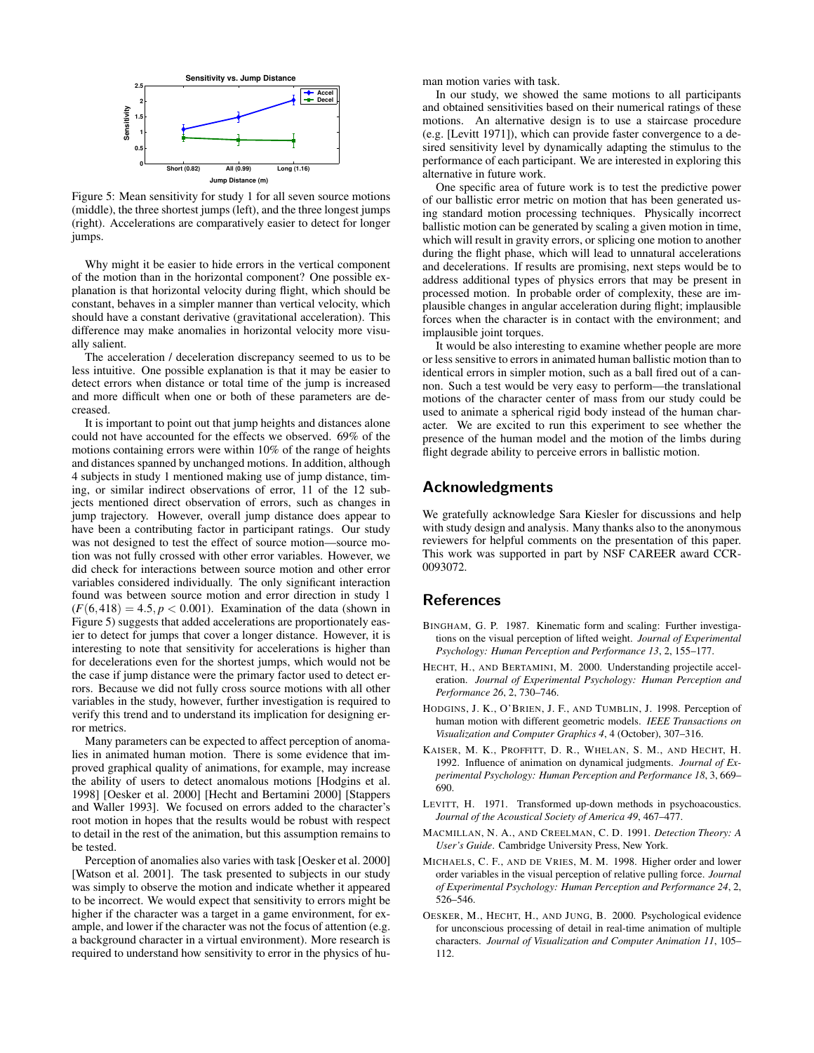

Figure 5: Mean sensitivity for study 1 for all seven source motions (middle), the three shortest jumps (left), and the three longest jumps (right). Accelerations are comparatively easier to detect for longer jumps.

Why might it be easier to hide errors in the vertical component of the motion than in the horizontal component? One possible explanation is that horizontal velocity during flight, which should be constant, behaves in a simpler manner than vertical velocity, which should have a constant derivative (gravitational acceleration). This difference may make anomalies in horizontal velocity more visually salient.

The acceleration / deceleration discrepancy seemed to us to be less intuitive. One possible explanation is that it may be easier to detect errors when distance or total time of the jump is increased and more difficult when one or both of these parameters are decreased.

It is important to point out that jump heights and distances alone could not have accounted for the effects we observed. 69% of the motions containing errors were within 10% of the range of heights and distances spanned by unchanged motions. In addition, although 4 subjects in study 1 mentioned making use of jump distance, timing, or similar indirect observations of error, 11 of the 12 subjects mentioned direct observation of errors, such as changes in jump trajectory. However, overall jump distance does appear to have been a contributing factor in participant ratings. Our study was not designed to test the effect of source motion—source motion was not fully crossed with other error variables. However, we did check for interactions between source motion and other error variables considered individually. The only significant interaction found was between source motion and error direction in study 1  $(F(6, 418) = 4.5, p < 0.001)$ . Examination of the data (shown in Figure 5) suggests that added accelerations are proportionately easier to detect for jumps that cover a longer distance. However, it is interesting to note that sensitivity for accelerations is higher than for decelerations even for the shortest jumps, which would not be the case if jump distance were the primary factor used to detect errors. Because we did not fully cross source motions with all other variables in the study, however, further investigation is required to verify this trend and to understand its implication for designing error metrics.

Many parameters can be expected to affect perception of anomalies in animated human motion. There is some evidence that improved graphical quality of animations, for example, may increase the ability of users to detect anomalous motions [Hodgins et al. 1998] [Oesker et al. 2000] [Hecht and Bertamini 2000] [Stappers and Waller 1993]. We focused on errors added to the character's root motion in hopes that the results would be robust with respect to detail in the rest of the animation, but this assumption remains to be tested.

Perception of anomalies also varies with task [Oesker et al. 2000] [Watson et al. 2001]. The task presented to subjects in our study was simply to observe the motion and indicate whether it appeared to be incorrect. We would expect that sensitivity to errors might be higher if the character was a target in a game environment, for example, and lower if the character was not the focus of attention (e.g. a background character in a virtual environment). More research is required to understand how sensitivity to error in the physics of human motion varies with task.

In our study, we showed the same motions to all participants and obtained sensitivities based on their numerical ratings of these motions. An alternative design is to use a staircase procedure (e.g. [Levitt 1971]), which can provide faster convergence to a desired sensitivity level by dynamically adapting the stimulus to the performance of each participant. We are interested in exploring this alternative in future work.

One specific area of future work is to test the predictive power of our ballistic error metric on motion that has been generated using standard motion processing techniques. Physically incorrect ballistic motion can be generated by scaling a given motion in time, which will result in gravity errors, or splicing one motion to another during the flight phase, which will lead to unnatural accelerations and decelerations. If results are promising, next steps would be to address additional types of physics errors that may be present in processed motion. In probable order of complexity, these are implausible changes in angular acceleration during flight; implausible forces when the character is in contact with the environment; and implausible joint torques.

It would be also interesting to examine whether people are more or less sensitive to errors in animated human ballistic motion than to identical errors in simpler motion, such as a ball fired out of a cannon. Such a test would be very easy to perform—the translational motions of the character center of mass from our study could be used to animate a spherical rigid body instead of the human character. We are excited to run this experiment to see whether the presence of the human model and the motion of the limbs during flight degrade ability to perceive errors in ballistic motion.

### Acknowledgments

We gratefully acknowledge Sara Kiesler for discussions and help with study design and analysis. Many thanks also to the anonymous reviewers for helpful comments on the presentation of this paper. This work was supported in part by NSF CAREER award CCR-0093072.

### References

- BINGHAM, G. P. 1987. Kinematic form and scaling: Further investigations on the visual perception of lifted weight. *Journal of Experimental Psychology: Human Perception and Performance 13*, 2, 155–177.
- HECHT, H., AND BERTAMINI, M. 2000. Understanding projectile acceleration. *Journal of Experimental Psychology: Human Perception and Performance 26*, 2, 730–746.
- HODGINS, J. K., O'BRIEN, J. F., AND TUMBLIN, J. 1998. Perception of human motion with different geometric models. *IEEE Transactions on Visualization and Computer Graphics 4*, 4 (October), 307–316.
- KAISER, M. K., PROFFITT, D. R., WHELAN, S. M., AND HECHT, H. 1992. Influence of animation on dynamical judgments. *Journal of Experimental Psychology: Human Perception and Performance 18*, 3, 669– 690.
- LEVITT, H. 1971. Transformed up-down methods in psychoacoustics. *Journal of the Acoustical Society of America 49*, 467–477.
- MACMILLAN, N. A., AND CREELMAN, C. D. 1991. *Detection Theory: A User's Guide*. Cambridge University Press, New York.
- MICHAELS, C. F., AND DE VRIES, M. M. 1998. Higher order and lower order variables in the visual perception of relative pulling force. *Journal of Experimental Psychology: Human Perception and Performance 24*, 2, 526–546.
- OESKER, M., HECHT, H., AND JUNG, B. 2000. Psychological evidence for unconscious processing of detail in real-time animation of multiple characters. *Journal of Visualization and Computer Animation 11*, 105– 112.